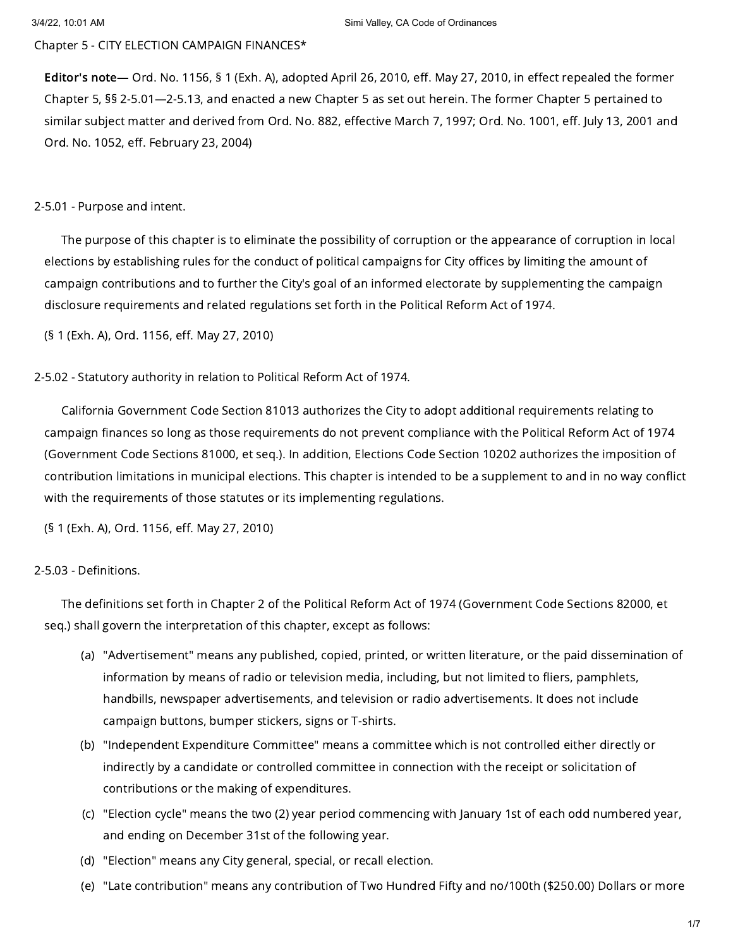Chapter 5 - CITY ELECTION CAMPAIGN FINANCES\*

Editor's note— Ord. No. 1156, § 1 (Exh. A), adopted April 26, 2010, eff. May 27, 2010, in effect repealed the former Chapter 5, §§ 2-5.01—2-5.13, and enacted a new Chapter 5 as set out herein. The former Chapter 5 pertained to similar subject matter and derived from Ord. No. 882, effective March 7, 1997; Ord. No. 1001, eff. July 13, 2001 and Ord. No. 1052, eff. February 23, 2004)

### 2-5.01 - Purpose and intent.

The purpose of this chapter is to eliminate the possibility of corruption or the appearance of corruption in local elections by establishing rules for the conduct of political campaigns for City offices by limiting the amount of campaign contributions and to further the City's goal of an informed electorate by supplementing the campaign disclosure requirements and related regulations set forth in the Political Reform Act of 1974.

(§ 1 (Exh. A), Ord. 1156, eff. May 27, 2010)

### 2-5.02 - Statutory authority in relation to Political Reform Act of 1974.

California Government Code Section 81013 authorizes the City to adopt additional requirements relating to campaign finances so long as those requirements do not prevent compliance with the Political Reform Act of 1974 (Government Code Sections 81000, et seq.). In addition, Elections Code Section 10202 authorizes the imposition of contribution limitations in municipal elections. This chapter is intended to be a supplement to and in no way conflict with the requirements of those statutes or its implementing regulations.

(§ 1 (Exh. A), Ord. 1156, eff. May 27, 2010)

### 2-5.03 - Definitions.

The definitions set forth in Chapter 2 of the Political Reform Act of 1974 (Government Code Sections 82000, et seq.) shall govern the interpretation of this chapter, except as follows:

- (a) "Advertisement" means any published, copied, printed, or written literature, or the paid dissemination of information by means of radio or television media, including, but not limited to fliers, pamphlets, handbills, newspaper advertisements, and television or radio advertisements. It does not include campaign buttons, bumper stickers, signs or T-shirts.
- (b) "Independent Expenditure Committee" means a committee which is not controlled either directly or indirectly by a candidate or controlled committee in connection with the receipt or solicitation of contributions or the making of expenditures.
- (c) "Election cycle" means the two (2) year period commencing with January 1st of each odd numbered year, and ending on December 31st of the following year.
- (d) "Election" means any City general, special, or recall election.
- (e) "Late contribution" means any contribution of Two Hundred Fifty and no/100th (\$250.00) Dollars or more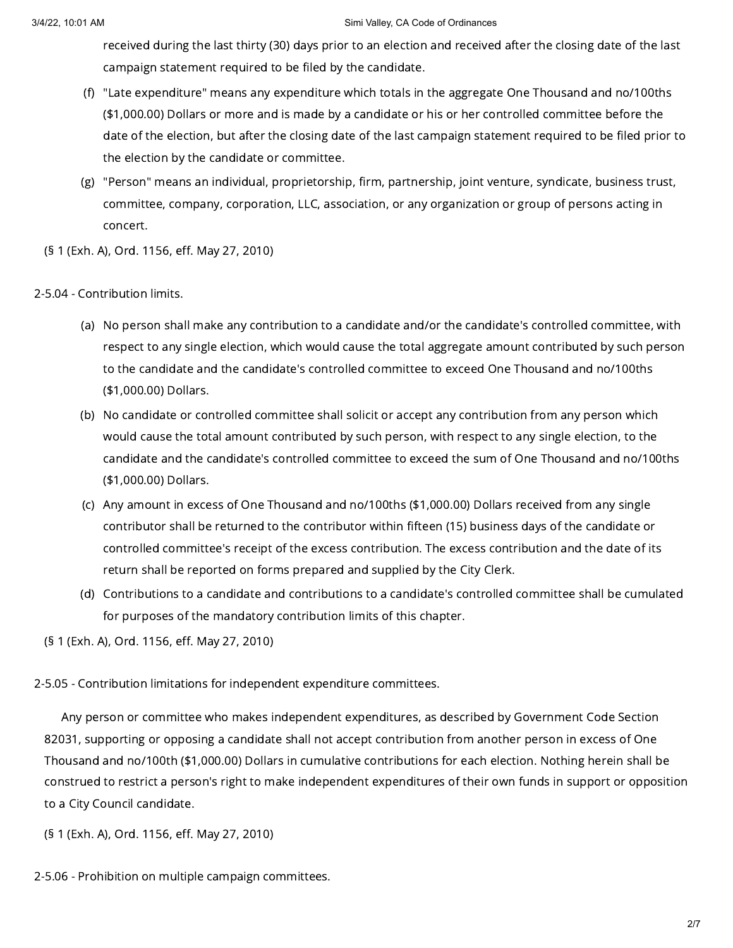#### 3/4/22, 10:01 AM Simi Valley, CA Code of Ordinances

received during the last thirty (30) days prior to an election and received after the closing date of the last campaign statement required to be filed by the candidate.

- (f) "Late expenditure" means any expenditure which totals in the aggregate One Thousand and no/100ths (\$1,000.00) Dollars or more and is made by a candidate or his or her controlled committee before the date of the election, but after the closing date of the last campaign statement required to be filed prior to the election by the candidate or committee.
- (g) "Person" means an individual, proprietorship, firm, partnership, joint venture, syndicate, business trust, committee, company, corporation, LLC, association, or any organization or group of persons acting in concert.
- (§ 1 (Exh. A), Ord. 1156, eff. May 27, 2010)

# 2-5.04 - Contribution limits.

- (a) No person shall make any contribution to a candidate and/or the candidate's controlled committee, with respect to any single election, which would cause the total aggregate amount contributed by such person to the candidate and the candidate's controlled committee to exceed One Thousand and no/100ths (\$1,000.00) Dollars.
- (b) No candidate or controlled committee shall solicit or accept any contribution from any person which would cause the total amount contributed by such person, with respect to any single election, to the candidate and the candidate's controlled committee to exceed the sum of One Thousand and no/100ths (\$1,000.00) Dollars.
- (c) Any amount in excess of One Thousand and no/100ths (\$1,000.00) Dollars received from any single contributor shall be returned to the contributor within fifteen (15) business days of the candidate or controlled committee's receipt of the excess contribution. The excess contribution and the date of its return shall be reported on forms prepared and supplied by the City Clerk.
- (d) Contributions to a candidate and contributions to a candidate's controlled committee shall be cumulated for purposes of the mandatory contribution limits of this chapter.

(§ 1 (Exh. A), Ord. 1156, eff. May 27, 2010)

# 2-5.05 - Contribution limitations for independent expenditure committees.

Any person or committee who makes independent expenditures, as described by Government Code Section 82031, supporting or opposing a candidate shall not accept contribution from another person in excess of One Thousand and no/100th (\$1,000.00) Dollars in cumulative contributions for each election. Nothing herein shall be construed to restrict a person's right to make independent expenditures of their own funds in support or opposition to a City Council candidate.

- (§ 1 (Exh. A), Ord. 1156, eff. May 27, 2010)
- 2-5.06 Prohibition on multiple campaign committees.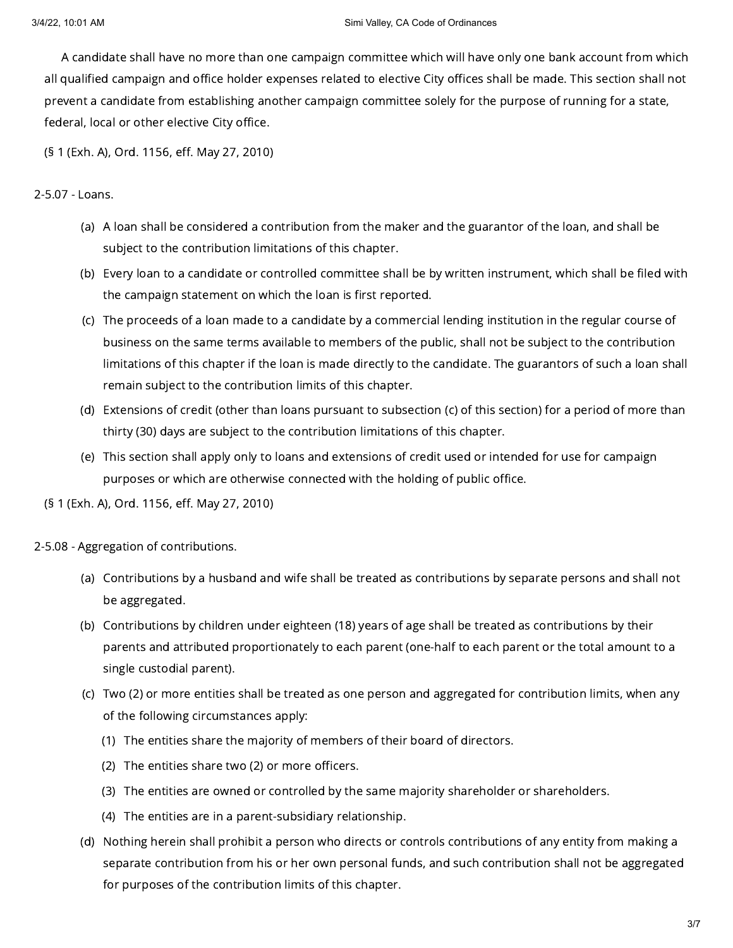A candidate shall have no more than one campaign committee which will have only one bank account from which all qualified campaign and office holder expenses related to elective City offices shall be made. This section shall not prevent a candidate from establishing another campaign committee solely for the purpose of running for a state, federal, local or other elective City office.

(§ 1 (Exh. A), Ord. 1156, eff. May 27, 2010)

# 2-5.07 - Loans.

- (a) A loan shall be considered a contribution from the maker and the guarantor of the loan, and shall be subject to the contribution limitations of this chapter.
- (b) Every loan to a candidate or controlled committee shall be by written instrument, which shall be filed with the campaign statement on which the loan is first reported.
- (c) The proceeds of a loan made to a candidate by a commercial lending institution in the regular course of business on the same terms available to members of the public, shall not be subject to the contribution limitations of this chapter if the loan is made directly to the candidate. The guarantors of such a loan shall remain subject to the contribution limits of this chapter.
- (d) Extensions of credit (other than loans pursuant to subsection (c) of this section) for a period of more than thirty (30) days are subject to the contribution limitations of this chapter.
- (e) This section shall apply only to loans and extensions of credit used or intended for use for campaign purposes or which are otherwise connected with the holding of public office.

(§ 1 (Exh. A), Ord. 1156, eff. May 27, 2010)

2-5.08 - Aggregation of contributions.

- (a) Contributions by a husband and wife shall be treated as contributions by separate persons and shall not be aggregated.
- (b) Contributions by children under eighteen (18) years of age shall be treated as contributions by their parents and attributed proportionately to each parent (one-half to each parent or the total amount to a single custodial parent).
- (c) Two (2) or more entities shall be treated as one person and aggregated for contribution limits, when any of the following circumstances apply:
	- (1) The entities share the majority of members of their board of directors.
	- (2) The entities share two (2) or more officers.
	- (3) The entities are owned or controlled by the same majority shareholder or shareholders.
	- (4) The entities are in a parent-subsidiary relationship.
- (d) Nothing herein shall prohibit a person who directs or controls contributions of any entity from making a separate contribution from his or her own personal funds, and such contribution shall not be aggregated for purposes of the contribution limits of this chapter.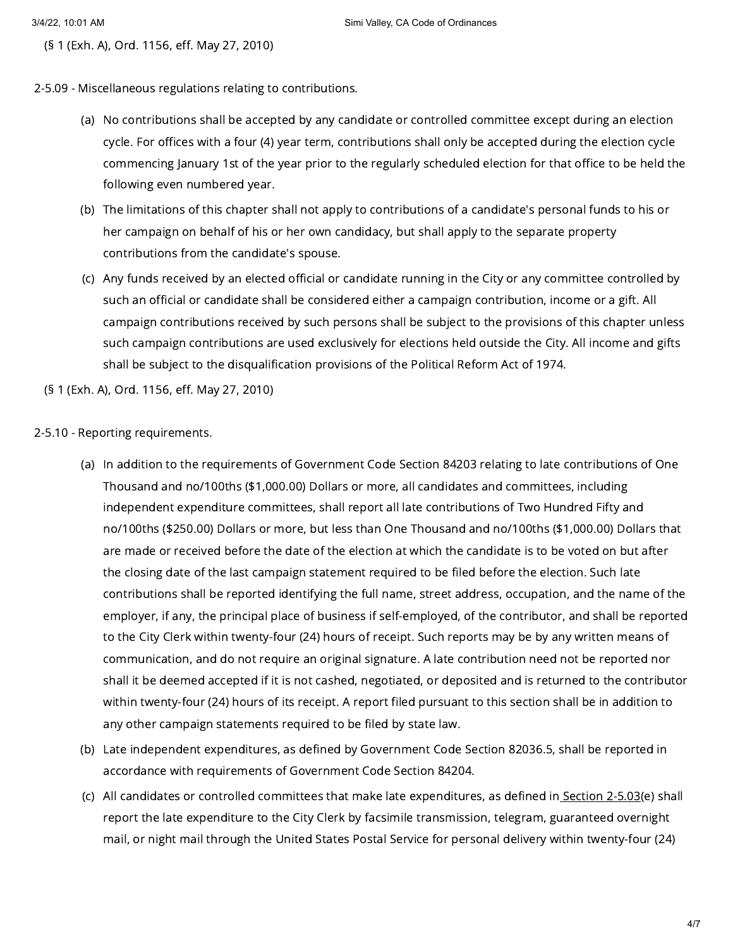(§ 1 (Exh. A), Ord. 1156, eff. May 27, 2010)

## 2-5.09 - Miscellaneous regulations relating to contributions.

- (a) No contributions shall be accepted by any candidate or controlled committee except during an election cycle. For offices with a four (4) year term, contributions shall only be accepted during the election cycle commencing January 1st of the year prior to the regularly scheduled election for that office to be held the following even numbered year.
- (b) The limitations of this chapter shall not apply to contributions of a candidate's personal funds to his or her campaign on behalf of his or her own candidacy, but shall apply to the separate property contributions from the candidate's spouse.
- (c) Any funds received by an elected official or candidate running in the City or any committee controlled by such an official or candidate shall be considered either a campaign contribution, income or a gift. All campaign contributions received by such persons shall be subject to the provisions of this chapter unless such campaign contributions are used exclusively for elections held outside the City. All income and gifts shall be subject to the disqualification provisions of the Political Reform Act of 1974.

(§ 1 (Exh. A), Ord. 1156, eff. May 27, 2010)

## 2-5.10 - Reporting requirements.

- (a) In addition to the requirements of Government Code Section 84203 relating to late contributions of One Thousand and no/100ths (\$1,000.00) Dollars or more, all candidates and committees, including independent expenditure committees, shall report all late contributions of Two Hundred Fifty and no/100ths (\$250.00) Dollars or more, but less than One Thousand and no/100ths (\$1,000.00) Dollars that are made or received before the date of the election at which the candidate is to be voted on but after the closing date of the last campaign statement required to be filed before the election. Such late contributions shall be reported identifying the full name, street address, occupation, and the name of the employer, if any, the principal place of business if self-employed, of the contributor, and shall be reported to the City Clerk within twenty-four (24) hours of receipt. Such reports may be by any written means of communication, and do not require an original signature. A late contribution need not be reported nor shall it be deemed accepted if it is not cashed, negotiated, or deposited and is returned to the contributor within twenty-four (24) hours of its receipt. A report filed pursuant to this section shall be in addition to any other campaign statements required to be filed by state law.
- (b) Late independent expenditures, as defined by Government Code Section 82036.5, shall be reported in accordance with requirements of Government Code Section 84204.
- (c) All candidates or controlled committees that make late expenditures, as defined in<u> [Section](https://library.municode.com/) 2-5.03(</u>e) shall report the late expenditure to the City Clerk by facsimile transmission, telegram, guaranteed overnight mail, or night mail through the United States Postal Service for personal delivery within twenty-four (24)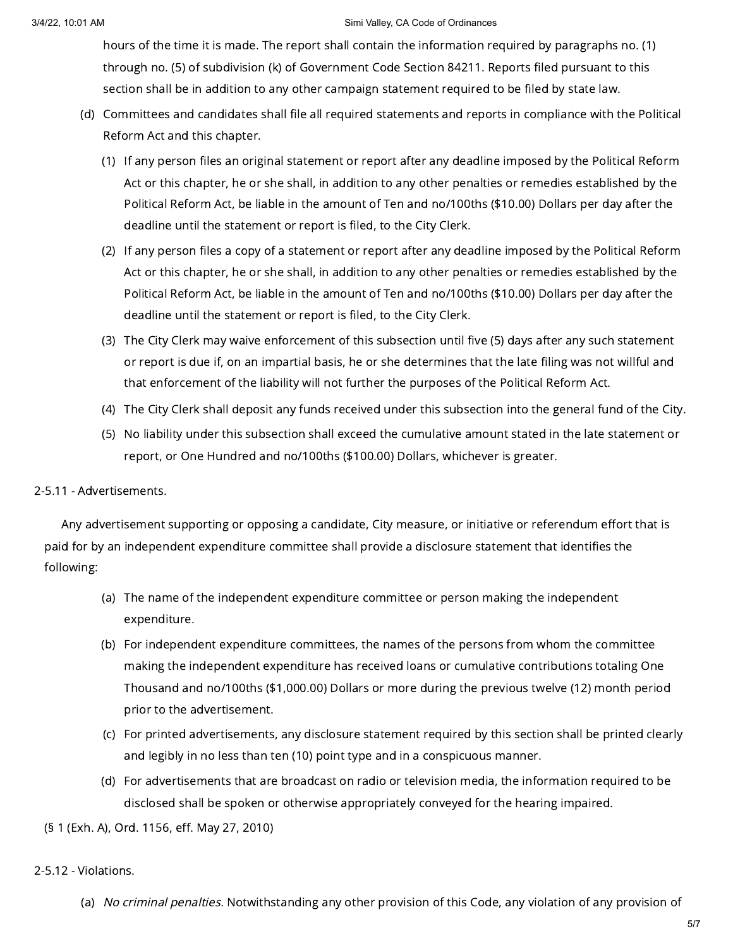#### 3/4/22, 10:01 AM Simi Valley, CA Code of Ordinances

hours of the time it is made. The report shall contain the information required by paragraphs no. (1) through no. (5) of subdivision (k) of Government Code Section 84211. Reports filed pursuant to this section shall be in addition to any other campaign statement required to be filed by state law.

- (d) Committees and candidates shall file all required statements and reports in compliance with the Political Reform Act and this chapter.
	- (1) If any person files an original statement or report after any deadline imposed by the Political Reform Act or this chapter, he or she shall, in addition to any other penalties or remedies established by the Political Reform Act, be liable in the amount of Ten and no/100ths (\$10.00) Dollars per day after the deadline until the statement or report is filed, to the City Clerk.
	- (2) If any person files a copy of a statement or report after any deadline imposed by the Political Reform Act or this chapter, he or she shall, in addition to any other penalties or remedies established by the Political Reform Act, be liable in the amount of Ten and no/100ths (\$10.00) Dollars per day after the deadline until the statement or report is filed, to the City Clerk.
	- (3) The City Clerk may waive enforcement of this subsection until five (5) days after any such statement or report is due if, on an impartial basis, he or she determines that the late filing was not willful and that enforcement of the liability will not further the purposes of the Political Reform Act.
	- (4) The City Clerk shall deposit any funds received under this subsection into the general fund of the City.
	- (5) No liability under this subsection shall exceed the cumulative amount stated in the late statement or report, or One Hundred and no/100ths (\$100.00) Dollars, whichever is greater.

## 2-5.11 - Advertisements.

Any advertisement supporting or opposing a candidate, City measure, or initiative or referendum effort that is paid for by an independent expenditure committee shall provide a disclosure statement that identifies the following:

- (a) The name of the independent expenditure committee or person making the independent expenditure.
- (b) For independent expenditure committees, the names of the persons from whom the committee making the independent expenditure has received loans or cumulative contributions totaling One Thousand and no/100ths (\$1,000.00) Dollars or more during the previous twelve (12) month period prior to the advertisement.
- (c) For printed advertisements, any disclosure statement required by this section shall be printed clearly and legibly in no less than ten (10) point type and in a conspicuous manner.
- (d) For advertisements that are broadcast on radio or television media, the information required to be disclosed shall be spoken or otherwise appropriately conveyed for the hearing impaired.

(§ 1 (Exh. A), Ord. 1156, eff. May 27, 2010)

# 2-5.12 - Violations.

(a) *No criminal penalties.* Notwithstanding any other provision of this Code, any violation of any provision of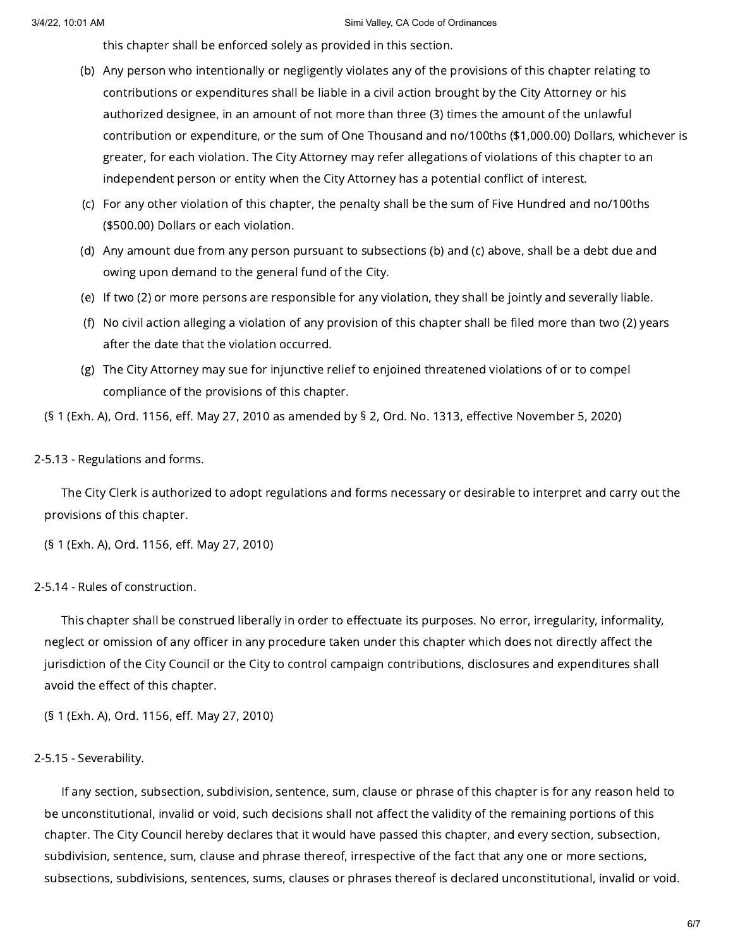this chapter shall be enforced solely as provided in this section.

- (b) Any person who intentionally or negligently violates any of the provisions of this chapter relating to contributions or expenditures shall be liable in a civil action brought by the City Attorney or his authorized designee, in an amount of not more than three (3) times the amount of the unlawful contribution or expenditure, or the sum of One Thousand and no/100ths (\$1,000.00) Dollars, whichever is greater, for each violation. The City Attorney may refer allegations of violations of this chapter to an independent person or entity when the City Attorney has a potential conflict of interest.
- (c) For any other violation of this chapter, the penalty shall be the sum of Five Hundred and no/100ths (\$500.00) Dollars or each violation.
- (d) Any amount due from any person pursuant to subsections (b) and (c) above, shall be a debt due and owing upon demand to the general fund of the City.
- (e) If two (2) or more persons are responsible for any violation, they shall be jointly and severally liable.
- (f) No civil action alleging a violation of any provision of this chapter shall be filed more than two (2) years after the date that the violation occurred.
- (g) The City Attorney may sue for injunctive relief to enjoined threatened violations of or to compel compliance of the provisions of this chapter.

(§ 1 (Exh. A), Ord. 1156, eff. May 27, 2010 as amended by § 2, Ord. No. 1313, effective November 5, 2020)

### 2-5.13 - Regulations and forms.

The City Clerk is authorized to adopt regulations and forms necessary or desirable to interpret and carry out the provisions of this chapter.

(§ 1 (Exh. A), Ord. 1156, eff. May 27, 2010)

# 2-5.14 - Rules of construction.

This chapter shall be construed liberally in order to effectuate its purposes. No error, irregularity, informality, neglect or omission of any officer in any procedure taken under this chapter which does not directly affect the jurisdiction of the City Council or the City to control campaign contributions, disclosures and expenditures shall avoid the effect of this chapter.

(§ 1 (Exh. A), Ord. 1156, eff. May 27, 2010)

#### 2-5.15 - Severability.

If any section, subsection, subdivision, sentence, sum, clause or phrase of this chapter is for any reason held to be unconstitutional, invalid or void, such decisions shall not affect the validity of the remaining portions of this chapter. The City Council hereby declares that it would have passed this chapter, and every section, subsection, subdivision, sentence, sum, clause and phrase thereof, irrespective of the fact that any one or more sections, subsections, subdivisions, sentences, sums, clauses or phrases thereof is declared unconstitutional, invalid or void.